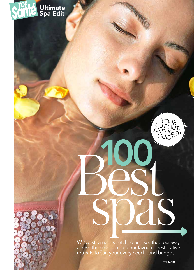#### É Ultimate Spa Edit



We've steamed, stretched and soothed our way across the globe to pick our favourite restorative retreats to suit your every need – and budget

spas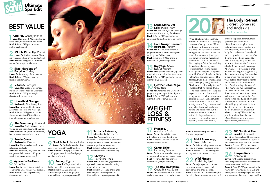# best VALUE

Azul Fit, Canary Islands Loved for Expert Pilates and yoga instruction, minutes from the beach. Book it From £490pp for seven nights (azulfit.com).

2 Middle Piccadilly, Dorset<br>Loved for Holistic retreats. There are vegetarian, detox or raw-food options! **Book it** From £75pppn for a detox retreat (middlepiccadilly.com).

 3 Sianji Gardens of **Babylon, Turkey** Loved for Luxe array of spa treatments. Book it From £82pppn sharing (gardenbabylon.com).

**6 The Sanctuary, Thailand** Loved for Back-to-basics yoga, therapies and near-deserted beaches. **Book it** From £4.63pppn for dormitory bed (thesanctuarythailand.com).

 4 Vitalisé, Portugal Loved for Diet programmes, including alkaline food or juice fasts. Book it From £780pp for eight days (lotusjourneys.com).

**7 Freely Given**<br>**Retreats, Devon Loved for Silent meditation for total** Freely Given Retreats, Devon relaxation and calm.

Book it Charity-run, pay what you can – suggested donation £150pp per week (freelygivenretreats.org).

#### **8 Ayurveda Pavilions,** Sri Lanka

Loved for Ayurvedic treatments in airconditioned villas with private gardens. Book it From £114 pppn sharing (jetwinghotels.com).



 5 Homefield Grange Retreat, Northampton Loved for Naturopathic detox with juice fasts, colonics and massage. **Book it** From £469pp inclusive for three-day Weekend Taster Detox (homefieldgrangeretreat.co.uk).

When I first arrived at the Body Retreat in Somerset two years ago, I was not a happy bunny. I'd lost my house, my husband and my business, and a six-month comforteating binge had taken its toll. I'd heard this women-only weightloss camp performed miracles in record time. I saw proof when a friend trying to fit into her wedding dress shrunk before my eyes.

### WEIGHT LOSS & **FITNE**

17 Fitscape,<br>Andalucia, Spain Loved for A full-body kick-start with hiking and mountain biking. Book it From £1,495pp for seven nights (fitscape.co.uk).

So it was that I found myself with a pair of callipers clamped to my midriff as Julie Brealy, the Body Retreat's co-founder, assessed the damage. I was the heaviest I'd ever been. Seeing my face, Julie said, 'You'll never be this weight again,' – just like that, no fuss or drama.

18 Camp Biche,<br>
Lauzerte, France Loved for No-nonsense boot camp to help you lose fat and shake stress. Book it From £2,250pp sharing for six days (campbiche.com).

The Real Bootcamp, Costa Blanca, Spain Loved for Total body MOT for fitness seekers looking to drop a dress size.

The Body Retreat, Dorset, Somerset<br>and Andalucia

Soul & Surf, Kerala, India Loved for Surf safaris and rooftop sunset vinyasas at this clifftop hotel. Book it From £189pp per week B&B; £130pp per week for surf and yoga (soulandsurf.com).

10 Zening, Cyprus<br>Loved for Yoga, meditation, biking and hiking at a veggie resort. Book it From £695pp sharing for seven nights, including flights (thehealthyholidaycompany.co.uk).

# 11 Satvada Retreats,<br>Marrakech, Morocco

The Body Retreat is not the place to go if you want to lie around being pampered (although you do get nice massages). The aim is to turn things around quickly. The activity level is fairly constant, with long hikes, body ball workouts, boxing and kettle bells. But the atmosphere is supportive and unthreatening, and you never go hungry – in fact, the food is heavenly. It's cooked by chef,

Bikini Bootcamp, Tulum, Mexico Loved for Mind-body programme to get you bikini-ready in record time. Book it From £1,181pp sharing for six nights (bikinibootcamp.com).

22 Wild Fitness,<br>Andalucia, Spain Loved for A jam-packed outdoor adventure week to boost body confidence and shed pounds. Book it From £2,677 for seven nights, including flights (essentialescapes.com).

hypnotherapist and mindfulness specialist, Juls Abernethy.

Loved for Personalised fitness courses with gold medallist trainers – great for beach circuits, yoga and surf lessons. Book it From £1,259pp for three nights (thirtyeightdegreesnorth.com).

#### **Canyon Ranch,** Arizona, US

Loved for Bespoke programmes, from weight loss to sleep enhancement, in state-of-the-art facilities.

**Book it** From £3,745pp sharing for the four-night New Approach To Weight Management, including flights and some spa treatments (healingholidays.co.uk).  $\Rightarrow$ 

Day three was tough – I was walking like a sumo wrestler and could feel every muscle in my body. But by day five, I was elated and energised – even more so after the weigh-in, when I learned I'd lost 7lb and 4% body fat. But my miracle achievement isn't unusual – Body Retreat attendees average 9lb weight loss a week and, unlike many faddy weight-loss gimmicks, the results are lasting. One member in our group had first come two years before, barely able to fit into an airplane seat. Now she was a size 12 and running 10km races!

Loved for Yoga, walking and mindfulness meditation in beautifully designed riads in the shadow of the snow-capped Atlas mountains. Book it From £545pp sharing for five nights (satvada-retreats.co.uk).

Loved for One-to-one yoga sessions, ayurvedic treatments and morning meditation practice. Book it From £1,750pp sharing for seven nights, including classes (thehealthyholidaycompany.co.uk).

### Santa Maria Del Sole, Puglia, Italy

Loved for Family-run, all-ability yoga retreat in a 16th-century farmhouse. **Book it** From £895pp sharing for seven nights (destinationyoga.co.uk).

**Ecce Navigo Tailored** Retreats, Turkey Loved for A seriously glamorous yoga retreat on a 111ft luxury yacht cruising the Turkish coast. Book it From £1,500pp sharing for five days (eccenavigo.com).

Kaliyoga, Spain, Italy or France Loved for Dynamic open-air yoga and meditation at a boho-chic farmhouse. **Book it** From £845pp sharing for six nights (kaliyoga.com).

#### **16 Heather Elton Yoga,<br>6 Goa. India** Goa, India

For many, like me, these retreats are life changing. I've been back three times and each time, I leave feeling energised and svelte. I'm now a toned size 12, and have just signed up for a 10-mile run. And when things go off track (as they did at Christmas), I nip back to the Body Retreat for a weekend reboot, knowing I'll leave feeling positive and motivated again. *From £1,050pp sharing for seven nights (thebodyretreat.co.uk).* 

## 23 38° North at The Scarlet, Cornwall

Loved for Ashtanga and vinyasa flow yoga that goes beyond the physical. Book it From £216pp for seven nights sharing (eltonyoga.com).



# YOGA

Book it From £998pp per week (lotusjourneys.com).



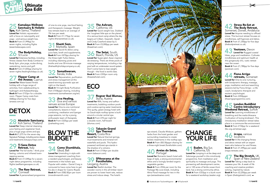**28 Absolute Sanctuary,<br>28 Koh Samui Thailand** Koh Samui, Thailand Loved for Deep internal cleansing, juice fasting and vegetarian food, plus a huge yoga centre and spa. **Book it** £1,275 for the seven-day Signature Package, including some classes and treatments (lotusjourneys.com).

**Book it** From £1,549pp for a sevennight detox programme, including flights (wellbeingescapes.co.uk).

## CHANGE YOUR LIFE



### Loved for The full works - think juice

fasting, colonics and infrared toxinzapping saunas.

Esalen, Big Sur,<br>California, US Loved for Jumping in at the deep end. Submerge yourself in this mind-body programme, from meditation and spirituality to massage and yoga. This pioneering self-development centre, set in 120 acres of fertile ocean-front land, has a strong community ethos. Book it From £333pp in a bunk room for a weekend workshop (esalen.org).

## Stress Re-Set at<br>The Body Retreat,



Loved for Milk, honey and saffron treatments, bubbling outdoor pools and curative spring water treatments. This quirky, green-energy hotel with its Gaudi-style rooftop spires is built around a circular central spa. Book it From £70 per night for a double room, half board (blumau.com).

#### **38** Tabacón Grand<br>38 Spa Thermal Spa Thermal Resort, Costa Rica

Loved for Natural thermal springs, mud treatments and mineral-rich waterfalls and pools. This hydropowered rainforest spa stands in the shadow of a volcano. Book it From £154pn per double room (tabacon.com).

#### **39** SPAnorama at the Forsthofalm. Forsthofalm,

Como Shambhala, Ubud, Bali

#### 37 Rogner Bad Blumau, Styria, Austria

Loved for Unwinding in style with stress management coaching from a resident psychologist, and beauty treatments in the holistic spa. Popular with celebs – Daniel Craig is rumoured to have come here to get his abs in shape for *Casino Royale*. Book it From £582.82pn per room (mrandmrssmith.com).

#### Areias do Seixo, Portugal

Loved for Romantic beach hotel with bags of style, a strong environmental ethos and a lovingly tended organic vegetable garden.

**Book it** From £556 per room for the Package My Love break, including Alma Floral massage for two in the spa (areiasdoseixo.com).

#### 31 Shanti Som,<br>Marbella, Spain Loved for Quick-fix detox using juice fasts, broth and supplements. Book it From £470pp sharing for the three-night Turbo Detox, including cleansing juices and broths and one 30-minute massage (thehealthyholidaycompany.co.uk).

Somatheeram, Kerala, India Loved for Rejuvenation, purification and stress management at this award-winning ayurvedic spa set right on the beach. **Book it** 14-night Body Purification from £104pppn sharing, including treatments (somatheeram.org/en).

> Leogang, Austria Loved for Restful slumber. The wooden rooms in this all-timber resort are proven to lower heart rate, reduce stress and induce sleep. The hotel's



### BLOW THE BUDGET

33 Jiva Healing,<br>33 Goa and various venues across Europe Loved for One-to-one nutritional consultations, lessons in food combining, meditation and Iyengar yoga sessions, run by a young, enthusiastic team of therapists. Book it From £325pp per week (jivahealing.com).

Somerset, Dorset, Andalucia Loved for Anyone needing to offload stress. This burnout retreat focuses on mindfulness, self-hypnosis and detox. Book it From £1,350pp for five days (thebodyretreat.co.uk).

#### Yeotown, Devon Loved for Rugged coastal

Book it From £1,780pp for five days (yeotown.com).

#### **Fiona Arrigo<br>retreats,** Somerset Loved for One-to-one nurturing, with biodynamic therapy, massage, yoga, meditation and soul-searching sessions led by Fiona Arrigo – a life coach, biodynamic therapist and esoteric psychologist. Book it From £450pppn (thearrigoprogramme.com).

spa wizard, Claudia Widauer, gathers herbs from the hotel garden and surrounding meadows to create holistic treatments in the rooftop spa. Book it From £83.50pppn sharing for a three-night break (forsthofalm.com).

London Buddhist<br>Centre Introductory **Weekend Retreat, Suffolk** Loved for Learning mindfulness of breathing and the metta bhavana ('cultivation of loving kindness'). This introductory meditation retreat takes place in a commune-like environment. Book it From £150pp for a weekend (lbc.org.uk/retreat.asp).

#### in:spa, various locations Loved for A life-changing fitness and detox retreat with an expert team who balance fun and fitness. Book it From £1,495pp per week (inspa-retreats.com).

#### **The Big Stretch, UK, Spain or New Zealand** Loved for Taking a step back to reassess your life. A week of life coaching and creative problem solving, inspired by nature. Book it From £2,250pp per week in Spain (thebigstretch.com). →

Spa, Koh Samui, Thailand Loved for Holistic rejuvenation with a focus on naturopathy and yoga – and serious weight loss. Book it From £1,999pp for seven nights, including flights (essentialescapes.com).

#### The BodyHoliday, St Lucia

of one-to-one yoga, raw-food fasting and therapeutic massage. Weightloss retreats lead to an average of 7lb loss per week. Book it From £1,175pp for seven nights (therawretreat.co.uk).

Loved for Extensive facilities, including fitness classes from Body Combat to Body Spin, plus yoga, scuba diving, waterskiing, tennis and golf. Book it From £1,835pp sharing for seven nights (healingholidays.co.uk).

27 Flipper Camp at<br>the Anassa, Cyprus Loved for Water-based fitness holiday with a huge range of activities, from wakeboarding to hydrogym and thalassotherapy. **Book it** From £153pn for a double room. Flipper Camp costs from £682pp sharing for five days (anassa.com.cy).

# **DETOX**

#### The Ashram, California, US

Loved for Quick weight loss. Dubbed the 'toughest little spa on the planet', it's a serious boot camp where the day begins at 5.30am. Gwyneth, Oprah and Cindy Crawford swear by it. Book it From £3,000pp per week (theashram.com).

# 36 The Setai, South<br>Beach, Florida, US

Loved for Super-glam Asian-inspired de-stressing. There are three pools of varying temperatures, including a lap pool with an underwater sound system. Don't come here to lose weight, though – the food is world class. Book it From £355pn room only (thesetaihotel.com).

# **ECO**

hikes, yoga and meditation. Cultivate mindfulness and optimum health at this gorgeously chic, rustic retreat near the ocean.



## Kamalaya Wellness<br>Sanctuary & Holistic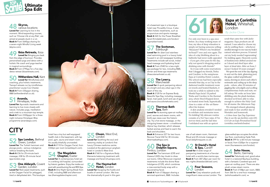I've only ever been to a spa once before. As a busy working mum-offour, my idea of deep relaxation is simply *not* having someone yelling: 'Muuuum!! Where's my breakfast/ tie/head?!' over and over again. The idea of a day blobbing about in a bathrobe had never really appealed – if you get a free pass for the day, why not spend it shopping and/or drinking wine with friends?

So it was with some reservations that I dragged my friends, Trisha and Caroline, to the sumptuous Espa at Corinthia Hotel, London. The school run had been especially stressful that day, so as I lay in the darkened marble treatment room on towels and heated blankets, it took me a while to submit to the blissful Espa facial. I'd parked Trisha and Caroline in the thermal area, where they'd flopped down on heated stone beds, hypnotically close to a state-of-the-art flameeffect fire feature.

A skin analysis revealed I needed to exfoliate and moisturise more. No kidding! My skincare routine consists of a No7 face wipe, if I'm not too tired, and the last time I exfoliated was with an apricot

We emerged relaxed, gleaming and ready to face another day of Weetabix and homework. *A three-hour Spa Day Experience Pass to use the spa facilities costs £95; £115 for an Espa Personalised Facial (corinthia.com/hotels/london).*

### Espa at Corinthia **Hotel,** Whitehall,

Loved for A wide range of pampering treatments at a five-star hotel with a world-class marine spa. Book it From £87.20pn per room for two nights (thestdavidshotel.com).

scrub that came free with *Jackie* magazine. Espa products are all natural. I was asked to choose my oils by sniffing them – whichever smelled stronger to me was my body's natural selection process. It turned out my body needed 'regenerating'. No kidding again. Heavenly scents of frankincense drifted around me as I dozed and shed layer after layer of dead skin. After an hour, I swear I looked 10 years younger!

Four Seasons, London Loved for Cosy relaxation pods and magnificent views across London. The

Loved for Fabulously cool, good-value hotel in a restored Bauhaus building, with a fantastic Cowshed spa and open-air rooftop pool. There are also plush unisex steam rooms. Book it From £108pn per room, B&B; from £66 for a one-hour massage (sohohouseberlin.com).

Spa London, Bethnal Green, London Loved for The Turkish hammam and plunge pools – serious indulgence without breaking the bank. Book it £36 for 25-minute back massage; £38 for 25-minute facial (spa-london.org).

We spent the rest of the day dipping in and out the dark, glistening pool, the glass-walled 'amphitheatre' sauna, shoving ice down each other's swimsuits and curling up in the sleep pods – where, after 20 minutes of giggling like schoolgirls and scoffing complimentary fruits and nuts, we fell asleep. We woke an hour later dribbling onto the plush furniture, shocked we'd been able to relax enough to achieve the Holy Grail for all mums: the Afternoon Nap.

**One Aldwych, Covent** Garden, London Loved for Red-carpet treatments, such as the Oxygen Facial for jetlagged, tired or dehydrated skin. This boutique



#### 57 The Scotsman,<br>57 Edinburgh Edinburgh

Loved for An über-cool stainlesssteel swimming pool in a luxury hotel housed in an old newspaper building. Treatments include salt scrub, Indian head massage and hydrating facial. Book it From £540 for a two-night spa package for two, including B&B, dinner and three spa treatments (thescotsmanhotel.co.uk).

#### 58 The Lowry,<br>58 Manchester **Manchester**

Loved for A quick pampering reboot at a bright and airy urban spa in the heart of the city.

**Book it** £120 for an Express Body Beautiful Spa Day, including massage, facial, mani-pedi, lunch and use of gym and sauna (roccofortehotels.com).

#### 59 Thermae Bath Spa, Bath



use of salt steam room, Hammam Ritual and 25-minute massage or facial (dolphinsquare.co.uk).

62 St David's Hotel & Spa, Cardiff

Loved for Its stunning open-air rooftop pool, saunas and steam rooms, with bird's eye views over the historic city. Try a hot stone massage, or the intriguing kraxen stove – a traditional Alpine hay chamber, which releases herbal aromas and heat to warm the back and shoulders.

**Book it** Entrance £27 for two hours. Recover Facial £42 for 30 minutes (thermaebathspa.com).

### 60 The Spa in<br>**60** Dolphin Square, Pimlico, London

Loved for The hammam (£39) and rhassoul (£45) clay rituals to draw out toxins. Other Moroccan-inspired treatments include the divine Rose Indulgence (£129), which combines a rose-scented body wrap with a rejuvenating facial.

Book it From £136pppn sharing a serviced apartment, B&B. Includes

48 Skyros,<br>
various locations Loved for Learning to live in the moment. Mind-expanding courses, such as 'Choose Life at any Risk', are aimed at people stuck in a rut. Book it From £645pp sharing for a seven-night Mindful Living week (skyros.com).

> glass-walled spa occupies the whole top floor, overlooking Hyde Park. Book it £99 for a 60-minute massage or facial; from £320pn for a superior room (fourseasons.com/london).

## 64 Soho House,<br>Berlin, Germany

Witherdens Hall, Kent Loved for Mindfulness and coaching, plus holistic treatments. Tranquil retreats run by mindfulness practitioner Louise Cox Chester. Book it From £35pppn sharing, B&B (witherdenshall.co.uk).

51 **Ananda,**<br>Himalayas, India Loved for Ayurvedic treatments and learning to live more closely with nature. Includes yoga, meditation and a trek to a mountain-top temple. Book it From £330pppn for a threenight inclusive Himalayan Bliss programme (anandaspa.com).

# **CITY**

#### 55 Chuan, West End, London

Loved for Soothing the soul and restoring vitality at London's first luxury Chinese medicine centre. Located at the glamorous Langham hotel in London's West End. Book it £160 for a Signature Body Elements balancing treatment with massage and facial (chuanspa.com).

56 The Haymarket Hotel, London Loved for Escaping the hustle and bustle of central London. We love the dramatically-lit pool in this gem

54 The Magdalen<br>Chapter, Exeter Loved for A contemporary hotel set in a striking old hospital, surrounded by historic gardens. Enjoy the inside-out pool with wood-burning fire and REN Spa. **Book it** One Night Spring Break from £160, including B&B and afternoon tea (themagdalenchapter.com).

of a basement spa in a boutique hotel near Piccadilly Circus. It also offers holistic treatments, such as acupuncture and sports massage. **Book it** £65 for the Power Breakfast facial (firmdalehotels.com/london/ haymarket-hotel).

49 Ibiza Retreats, Ibiza Loved for Bringing you back from the edge of burnout. Provides personalised yoga and detox with a holistic life coach and yoga teacher in magical surroundings. **Book it** From £795pp for a five-day detox retreat (ibizaretreats.com).

> hotel has a tiny but well-equipped health club in the basement, with lap pool, gym, sauna and steam room. It's usually blissfully uncrowded. Book it £110 for Oxygen Facial; from £342pn per room (onealdwych.com).

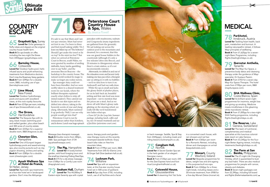**Grayshott Spa, Surrey** Loved for Girlie getaways in fluffy robes and slippers at the original country house health farm. **Book it** Six spa breaks on offer, including the two-night De-Stress from £455pppn (grayshottspa.com).

**66 Barnsley House, Cotswolds** Loved for Outdoor hydro-pool, herb-

**67 Lime Wood,**<br>**67** New Forest New Forest Loved for Outdoor hydrotherapy pools and sauna with woodland views, at this rock royalty favourite. **Book it** From £315pn per room, including use of spa (limewoodhotel.co.uk).

infused sauna and youth-enhancing treatments from Medicetics doctors. Don't miss the Rosemary Verey gardens. **Book it** From £290pn for a double room, B&B, including use of spa (barnsleyhouse.com).

Loved for The Sequoia Spa with its sexy, black mosaic swimming pool and walled garden, plus urban beach and 300 acres of country estate. **Book it** From £235pn for a superior double room, B&B (thegrove.co.uk).

#### Ayush Wellness Spa at Hotel de France, St Helier, Jersey

**Loved for** Ayurvedic spa treatments at a four-star hotel set in landscaped gardens. Don't miss the Abhyanga





hydrotherapy pools and award-winning spa, plus country pursuits such as clay pigeon shooting, archery and sailing. **Book it** From £280pn for a double room (chewtonglen.com).

It's safe to say that Mum and I are not spa veterans. Mum had never set foot in one. I've been to three and find myself asking wildly: 'Do I leave my bikini top on? The bottoms? Should I get under the towel or lie on top? Is the mint tea free?!' But when we arrived at Peterstone Court in Brecon, south Wales, we were greeted by swathes of smiling daffodils, fuzzy lambs gambling over to say 'hello', and the awesome Brecon Beacons – the backdrop to the country house. The natural world worked its magic to make us forget any rookie nerves.

Seaham Hall, Durham Loved for The 44,000sq ft Eastern-style Serenity spa with crystal

Spa manager Amy could not have been friendlier. And we were swiftly taken to a shared treatment room for our facials, where the brilliant therapists explained exactly what clothes to strip off (mind readers!). They catered our facials to our skin types and we drifted into silence, taking in the heavenly scents of rose and ylang ylang. Afterwards, Mum summed it up perfectly: 'Well, I can see why people would get into that!'

> Loved for Spa with an equestrian twist, at this five-star country house hotel set in 500 acres of parkland. Book it Spa day from £150, including lunch, use of all facilities and a facial

Congham Hall, Norfolk

Loved for A Secret Garden Spa set in the herb garden of an elegant Georgian manor.

Peterstone Court is run by restaurateurs rather than hoteliers, and it shows. Lunch was huge spinach

> Book it From £125pn per room; £45 for the Zest Express hand and foot ritual (conghamhallhotel.co.uk).

**76 Cotswold House,<br>8 Gloucestershire Gloucestershire** Loved for A steaming Hot Tub Suite

pancakes with mushrooms, walnuts and Gorgonzola (many ingredients are gathered from the grounds). We sat looking out across the outdoor pool to the mountains and dreamed, for a moment, that this was our grand house hidden in the countryside (although it's only a few minutes' drive into Brecon, and 20 minutes to Abergavenny where there's a train station, so it's not inconveniently remote).

> **Monart, County Wexford, Ireland** Loved for Bespoke programmes for detox, weight loss and anti-ageing in this purpose-built eco-spa. Book it From £260pp for a threenight break, including classes and a 30-minute treatment; from £908 for a five-day Monart Detox (monart.ie).

**8** Parkhotel, Innsbruck, Austria Loved for Tackling heart health, back pain, metabolism and burnout. A leading naturopathic retreat, it follows Mayr principles of wellbeing. Book it From £1,625pp for a sevennight Basic Programme, including flights (healingholidays.co.uk).

#### **Q** Iberostar Anthelia, Tenerife

Loved for The Mayr Kur Space, a preventive body detox and cleansing therapy under the guidance of Mayr specialist, Dr Gustavo Pezzini. Book it From £703 for a seven-day Mayr Kur Space Therapie. The hotel costs from £190pn per room, B&B (mayrkurspace.com).

# 80 SHA Wellness Clinic,<br>Costa Blanca, Spain

Afterwards, we drifted in and out of the relaxation room and Jacuzzi (only making one faux pas when a therapist saw us sitting in it with no bubbles – we'd no idea how to turn it on. Awkward!) and had our nails done. While the spa is small and lacks the glossy finish of plusher places, for us its laid-back air, beautiful setting and first-rate food was more important – not to mention that the prices are a steal. And as we drove off with Mum's glossy nails glinting on the steering wheel, we really felt like we'd transformed

Loved for Its brilliant seven-night programmes for insomnia, weight loss and giving up smoking. Medicine meets mindfulness in this gleaming white macrobiotic retreat. Book it From £1,005pp for a two-night SHA Feeling programme, including flights (healingholidays.co.uk).

81 The Reserve, Lake<br>Geneva, Switzerland Loved for The team of nutritional, complementary and medical specialists at this luxurious colonialstyle resort on Lake Geneva. Book it From £3,345pp for the fournight Better Ageing retreat, including treatments (healingholidays.co.uk).

#### 82 The Farm at San<br>82 Benito, Philippines Loved for The 21-night Life Changing Holiday, which is guaranteed to bust any bad habit. There are also medical programmes for people with cancer, obesity and diabetes.

**Book it** Seven-night packages cost from £2,390pp, including full board and flights (thefarmatsanbenito.com).  $\Rightarrow$ 

into ladies what spa.

*From £67 for the Leap Into Summer package, including lunch, coffee and tea, two 30-minute treatments and use of facilities (peterstone-court.com).*

## Peterstone Court Country House



Massage (two-therapist massage). Book it Double rooms from £80pn, B&B. Spa packages from £134 (ayushwellnessspa.com).

72 The Pig, Hampshire Loved for A lovely kitchen garden, wild food foraging tours and the small but charming Potting Shed Spa. **Book it** £75 for a de-stress massage; from £189pn for a Comfy Luxe room (thepighotel.com).

sauna, therapy pools and gardenview therapy rooms at this recently revamped seaside bolthole. Enjoy beach bike rides on free-hire mountain bikes.

Book it From £199pn per room, B&B. Treatments from £45 for Elemis Lime & Ginger Salt Glow (seaham-hall.co.uk).



or back massage. Saddle, Spa & Stay from £445pppn, including meals and riding lessons (lucknampark.co.uk).

in a converted coach house, with rain showers and nail bar. Book it From £365pn per room for a Romantic Retreat, including dinner and champagne on arrival (bespokehotels.com).

# MEDICAL

 $\cdot$  .  $\cdot$  .  $\cdot$  .  $\cdot$  .  $\cdot$  .  $\cdot$  .  $\cdot$  .  $\cdot$  .  $\cdot$  .  $\cdot$  .  $\cdot$  .  $\cdot$  .  $\cdot$  .  $\cdot$  .  $\cdot$  .  $\cdot$  .  $\cdot$  .  $\cdot$  .  $\cdot$  .  $\cdot$  .  $\cdot$  .  $\cdot$  .  $\cdot$  .  $\cdot$  .  $\cdot$  .  $\cdot$  .  $\cdot$  .  $\cdot$  .  $\cdot$  .  $\cdot$  .  $\cdot$  .  $\cdot$ 



## **COUNTRY ESCAPE**